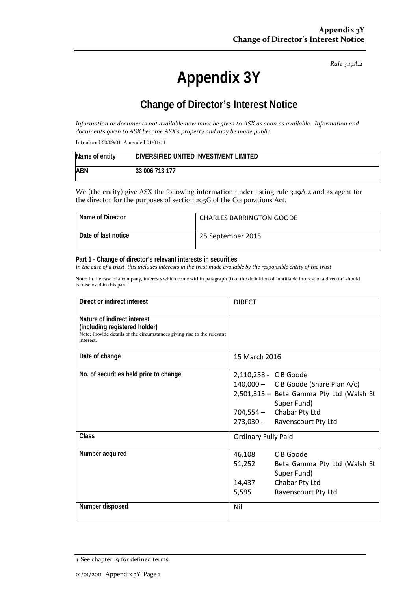*Rule 3.19A.2*

# **Appendix 3Y**

# **Change of Director's Interest Notice**

*Information or documents not available now must be given to ASX as soon as available. Information and documents given to ASX become ASX's property and may be made public.*

Introduced 30/09/01 Amended 01/01/11

| Name of entity | DIVERSIFIED UNITED INVESTMENT LIMITED |
|----------------|---------------------------------------|
| <b>ABN</b>     | 33 006 713 177                        |

We (the entity) give ASX the following information under listing rule 3.19A.2 and as agent for the director for the purposes of section 205G of the Corporations Act.

| Name of Director    | <b>CHARLES BARRINGTON GOODE</b> |
|---------------------|---------------------------------|
| Date of last notice | 25 September 2015               |

#### **Part 1 - Change of director's relevant interests in securities**

*In the case of a trust, this includes interests in the trust made available by the responsible entity of the trust*

Note: In the case of a company, interests which come within paragraph (i) of the definition of "notifiable interest of a director" should be disclosed in this part.

| Direct or indirect interest                                                                                                                         | <b>DIRECT</b>                                                                                                                                                                         |
|-----------------------------------------------------------------------------------------------------------------------------------------------------|---------------------------------------------------------------------------------------------------------------------------------------------------------------------------------------|
| Nature of indirect interest<br>(including registered holder)<br>Note: Provide details of the circumstances giving rise to the relevant<br>interest. |                                                                                                                                                                                       |
| Date of change                                                                                                                                      | 15 March 2016                                                                                                                                                                         |
| No. of securities held prior to change                                                                                                              | 2,110,258 - C B Goode<br>140,000 - C B Goode (Share Plan A/c)<br>2,501,313 - Beta Gamma Pty Ltd (Walsh St<br>Super Fund)<br>704,554 - Chabar Pty Ltd<br>273,030 - Ravenscourt Pty Ltd |
| <b>Class</b>                                                                                                                                        | <b>Ordinary Fully Paid</b>                                                                                                                                                            |
| Number acquired                                                                                                                                     | 46,108<br>C B Goode<br>51,252<br>Beta Gamma Pty Ltd (Walsh St<br>Super Fund)<br>Chabar Pty Ltd<br>14,437<br>5,595<br>Ravenscourt Pty Ltd                                              |
| Number disposed                                                                                                                                     | Nil                                                                                                                                                                                   |

<sup>+</sup> See chapter 19 for defined terms.